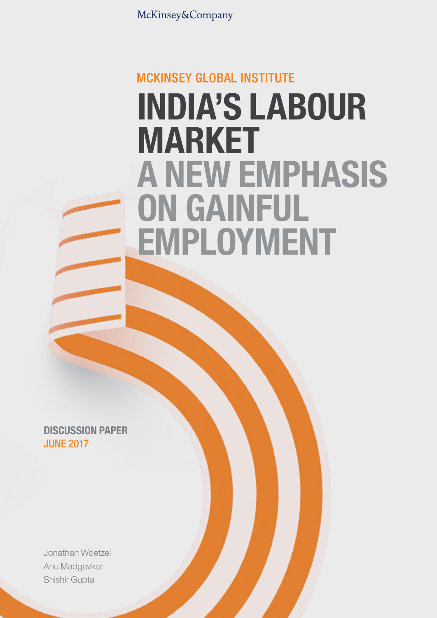McKinsey&Company

# **MCKINSEY GLOBAL INSTITUTE** INDIA'S LABOUR MARKET A NEW EMPHASIS ON GAINFUL EMPLOYMENT

DISCUSSION PAPER JUNE 2017

Jonathan Woetzel Anu Madgavkar Shishir Gupta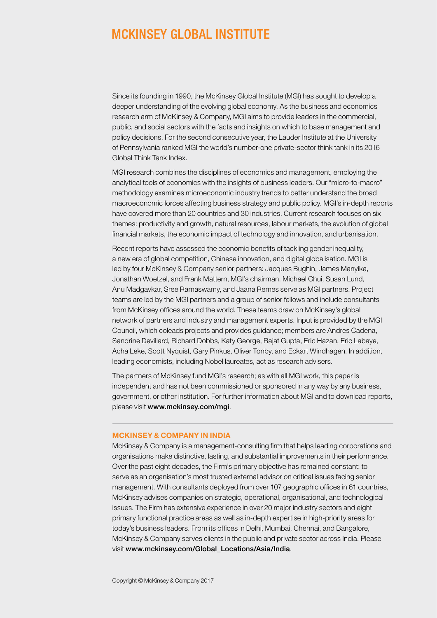### **MCKINSEY GLOBAL INSTITUTE**

Since its founding in 1990, the McKinsey Global Institute (MGI) has sought to develop a deeper understanding of the evolving global economy. As the business and economics research arm of McKinsey & Company, MGI aims to provide leaders in the commercial, public, and social sectors with the facts and insights on which to base management and policy decisions. For the second consecutive year, the Lauder Institute at the University of Pennsylvania ranked MGI the world's number-one private-sector think tank in its 2016 Global Think Tank Index.

MGI research combines the disciplines of economics and management, employing the analytical tools of economics with the insights of business leaders. Our "micro-to-macro" methodology examines microeconomic industry trends to better understand the broad macroeconomic forces affecting business strategy and public policy. MGI's in-depth reports have covered more than 20 countries and 30 industries. Current research focuses on six themes: productivity and growth, natural resources, labour markets, the evolution of global financial markets, the economic impact of technology and innovation, and urbanisation.

Recent reports have assessed the economic benefits of tackling gender inequality, a new era of global competition, Chinese innovation, and digital globalisation. MGI is led by four McKinsey & Company senior partners: Jacques Bughin, James Manyika, Jonathan Woetzel, and Frank Mattern, MGI's chairman. Michael Chui, Susan Lund, Anu Madgavkar, Sree Ramaswamy, and Jaana Remes serve as MGI partners. Project teams are led by the MGI partners and a group of senior fellows and include consultants from McKinsey offices around the world. These teams draw on McKinsey's global network of partners and industry and management experts. Input is provided by the MGI Council, which coleads projects and provides guidance; members are Andres Cadena, Sandrine Devillard, Richard Dobbs, Katy George, Rajat Gupta, Eric Hazan, Eric Labaye, Acha Leke, Scott Nyquist, Gary Pinkus, Oliver Tonby, and Eckart Windhagen. In addition, leading economists, including Nobel laureates, act as research advisers.

The partners of McKinsey fund MGI's research; as with all MGI work, this paper is independent and has not been commissioned or sponsored in any way by any business, government, or other institution. For further information about MGI and to download reports, please visit [www.mckinsey.com/mgi](http://www.mckinsey.com/mgi).

#### MCKINSEY & COMPANY IN INDIA

McKinsey & Company is a management-consulting firm that helps leading corporations and organisations make distinctive, lasting, and substantial improvements in their performance. Over the past eight decades, the Firm's primary objective has remained constant: to serve as an organisation's most trusted external advisor on critical issues facing senior management. With consultants deployed from over 107 geographic offices in 61 countries, McKinsey advises companies on strategic, operational, organisational, and technological issues. The Firm has extensive experience in over 20 major industry sectors and eight primary functional practice areas as well as in-depth expertise in high-priority areas for today's business leaders. From its offices in Delhi, Mumbai, Chennai, and Bangalore, McKinsey & Company serves clients in the public and private sector across India. Please visit [www.mckinsey.com/Global\\_Locations/Asia/India](http://www.mckinsey.com/Global_Locations/Asia/India).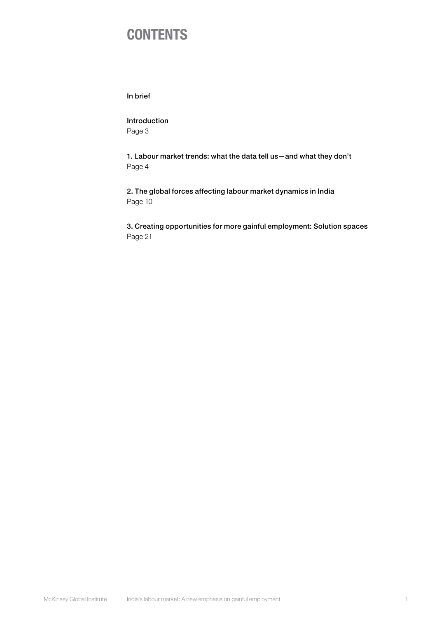### **CONTENTS**

In [brief](#page-3-0)

[Introduction](#page-4-0) [Page 3](#page-4-0)

[1. Labour market trends: what the data tell us—and what they don't](#page-5-0) [Page 4](#page-5-0)

[2. The global forces affecting labour market dynamics in India](#page-11-0) [Page 10](#page-11-0)

[3. Creating opportunities for more gainful employment: Solution spaces](#page-22-0) [Page 21](#page-22-0)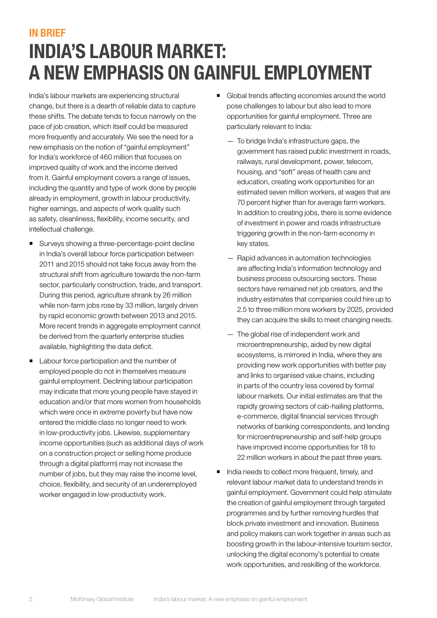### <span id="page-3-0"></span>IN BRIEF INDIA'S LABOUR MARKET: A NEW EMPHASIS ON GAINFUL EMPLOYMENT

India's labour markets are experiencing structural change, but there is a dearth of reliable data to capture these shifts. The debate tends to focus narrowly on the pace of job creation, which itself could be measured more frequently and accurately. We see the need for a new emphasis on the notion of "gainful employment" for India's workforce of 460 million that focuses on improved quality of work and the income derived from it. Gainful employment covers a range of issues, including the quantity and type of work done by people already in employment, growth in labour productivity, higher earnings, and aspects of work quality such as safety, cleanliness, flexibility, income security, and intellectual challenge.

- Surveys showing a three-percentage-point decline in India's overall labour force participation between 2011 and 2015 should not take focus away from the structural shift from agriculture towards the non-farm sector, particularly construction, trade, and transport. During this period, agriculture shrank by 26 million while non-farm jobs rose by 33 million, largely driven by rapid economic growth between 2013 and 2015. More recent trends in aggregate employment cannot be derived from the quarterly enterprise studies available, highlighting the data deficit.
- Labour force participation and the number of employed people do not in themselves measure gainful employment. Declining labour participation may indicate that more young people have stayed in education and/or that more women from households which were once in extreme poverty but have now entered the middle class no longer need to work in low-productivity jobs. Likewise, supplementary income opportunities (such as additional days of work on a construction project or selling home produce through a digital platform) may not increase the number of jobs, but they may raise the income level, choice, flexibility, and security of an underemployed worker engaged in low-productivity work.
- Global trends affecting economies around the world pose challenges to labour but also lead to more opportunities for gainful employment. Three are particularly relevant to India:
	- To bridge India's infrastructure gaps, the government has raised public investment in roads, railways, rural development, power, telecom, housing, and "soft" areas of health care and education, creating work opportunities for an estimated seven million workers, at wages that are 70 percent higher than for average farm workers. In addition to creating jobs, there is some evidence of investment in power and roads infrastructure triggering growth in the non-farm economy in key states.
	- Rapid advances in automation technologies are affecting India's information technology and business process outsourcing sectors. These sectors have remained net job creators, and the industry estimates that companies could hire up to 2.5 to three million more workers by 2025, provided they can acquire the skills to meet changing needs.
	- The global rise of independent work and microentrepreneurship, aided by new digital ecosystems, is mirrored in India, where they are providing new work opportunities with better pay and links to organised value chains, including in parts of the country less covered by formal labour markets. Our initial estimates are that the rapidly growing sectors of cab-hailing platforms, e-commerce, digital financial services through networks of banking correspondents, and lending for microentrepreneurship and self-help groups have improved income opportunities for 18 to 22 million workers in about the past three years.
- India needs to collect more frequent, timely, and relevant labour market data to understand trends in gainful employment. Government could help stimulate the creation of gainful employment through targeted programmes and by further removing hurdles that block private investment and innovation. Business and policy makers can work together in areas such as boosting growth in the labour-intensive tourism sector, unlocking the digital economy's potential to create work opportunities, and reskilling of the workforce.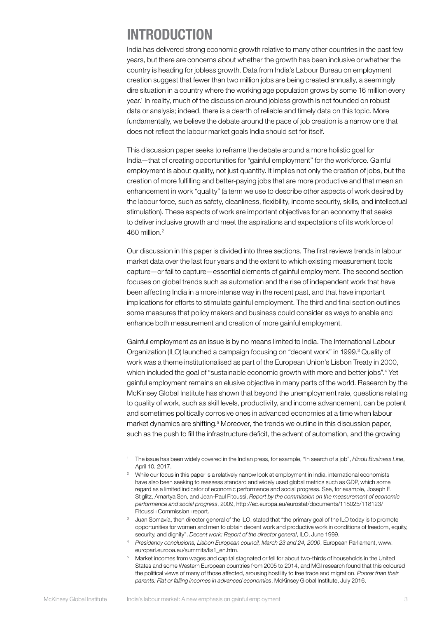### <span id="page-4-0"></span>INTRODUCTION

India has delivered strong economic growth relative to many other countries in the past few years, but there are concerns about whether the growth has been inclusive or whether the country is heading for jobless growth. Data from India's Labour Bureau on employment creation suggest that fewer than two million jobs are being created annually, a seemingly dire situation in a country where the working age population grows by some 16 million every year.1 In reality, much of the discussion around jobless growth is not founded on robust data or analysis; indeed, there is a dearth of reliable and timely data on this topic. More fundamentally, we believe the debate around the pace of job creation is a narrow one that does not reflect the labour market goals India should set for itself.

This discussion paper seeks to reframe the debate around a more holistic goal for India—that of creating opportunities for "gainful employment" for the workforce. Gainful employment is about quality, not just quantity. It implies not only the creation of jobs, but the creation of more fulfilling and better-paying jobs that are more productive and that mean an enhancement in work "quality" (a term we use to describe other aspects of work desired by the labour force, such as safety, cleanliness, flexibility, income security, skills, and intellectual stimulation). These aspects of work are important objectives for an economy that seeks to deliver inclusive growth and meet the aspirations and expectations of its workforce of 460 million.2

Our discussion in this paper is divided into three sections. The first reviews trends in labour market data over the last four years and the extent to which existing measurement tools capture—or fail to capture—essential elements of gainful employment. The second section focuses on global trends such as automation and the rise of independent work that have been affecting India in a more intense way in the recent past, and that have important implications for efforts to stimulate gainful employment. The third and final section outlines some measures that policy makers and business could consider as ways to enable and enhance both measurement and creation of more gainful employment.

Gainful employment as an issue is by no means limited to India. The International Labour Organization (ILO) launched a campaign focusing on "decent work" in 1999.<sup>3</sup> Quality of work was a theme institutionalised as part of the European Union's Lisbon Treaty in 2000, which included the goal of "sustainable economic growth with more and better jobs".<sup>4</sup> Yet gainful employment remains an elusive objective in many parts of the world. Research by the McKinsey Global Institute has shown that beyond the unemployment rate, questions relating to quality of work, such as skill levels, productivity, and income advancement, can be potent and sometimes politically corrosive ones in advanced economies at a time when labour market dynamics are shifting.<sup>5</sup> Moreover, the trends we outline in this discussion paper, such as the push to fill the infrastructure deficit, the advent of automation, and the growing

<sup>1</sup> The issue has been widely covered in the Indian press, for example, "In search of a job", *Hindu Business Line*, April 10, 2017.

- <sup>3</sup> Juan Somavía, then director general of the ILO, stated that "the primary goal of the ILO today is to promote opportunities for women and men to obtain decent work and productive work in conditions of freedom, equity, security, and dignity". *Decent work: Report of the director general*, ILO, June 1999.
- <sup>4</sup> *Presidency conclusions, Lisbon European council, March 23 and 24, 2000*, European Parliament, www. europarl.europa.eu/summits/lis1\_en.htm.
- <sup>5</sup> Market incomes from wages and capital stagnated or fell for about two-thirds of households in the United States and some Western European countries from 2005 to 2014, and MGI research found that this coloured the political views of many of those affected, arousing hostility to free trade and migration. *Poorer than their parents: Flat or falling incomes in advanced economies*, McKinsey Global Institute, July 2016.

<sup>2</sup> While our focus in this paper is a relatively narrow look at employment in India, international economists have also been seeking to reassess standard and widely used global metrics such as GDP, which some regard as a limited indicator of economic performance and social progress. See, for example, Joseph E. Stiglitz, Amartya Sen, and Jean-Paul Fitoussi, *Report by the commission on the measurement of economic performance and social progress*, 2009, http://ec.europa.eu/eurostat/documents/118025/118123/ Fitoussi+Commission+report.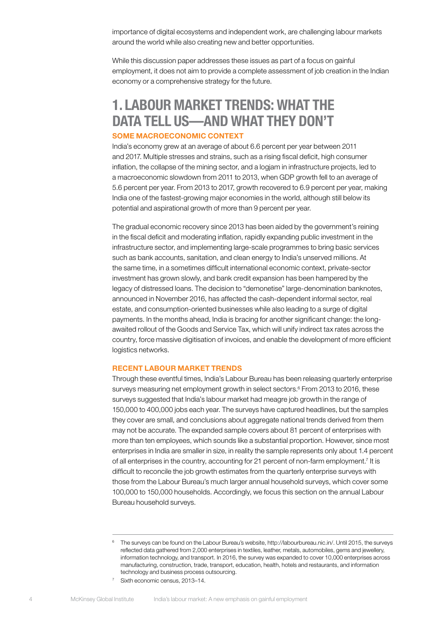importance of digital ecosystems and independent work, are challenging labour markets around the world while also creating new and better opportunities.

While this discussion paper addresses these issues as part of a focus on gainful employment, it does not aim to provide a complete assessment of job creation in the Indian economy or a comprehensive strategy for the future.

### <span id="page-5-0"></span>1. LABOUR MARKET TRENDS: WHAT THE DATA TELL US—AND WHAT THEY DON'T SOME MACROECONOMIC CONTEXT

India's economy grew at an average of about 6.6 percent per year between 2011 and 2017. Multiple stresses and strains, such as a rising fiscal deficit, high consumer inflation, the collapse of the mining sector, and a logjam in infrastructure projects, led to a macroeconomic slowdown from 2011 to 2013, when GDP growth fell to an average of 5.6 percent per year. From 2013 to 2017, growth recovered to 6.9 percent per year, making India one of the fastest-growing major economies in the world, although still below its potential and aspirational growth of more than 9 percent per year.

The gradual economic recovery since 2013 has been aided by the government's reining in the fiscal deficit and moderating inflation, rapidly expanding public investment in the infrastructure sector, and implementing large-scale programmes to bring basic services such as bank accounts, sanitation, and clean energy to India's unserved millions. At the same time, in a sometimes difficult international economic context, private-sector investment has grown slowly, and bank credit expansion has been hampered by the legacy of distressed loans. The decision to "demonetise" large-denomination banknotes, announced in November 2016, has affected the cash-dependent informal sector, real estate, and consumption-oriented businesses while also leading to a surge of digital payments. In the months ahead, India is bracing for another significant change: the longawaited rollout of the Goods and Service Tax, which will unify indirect tax rates across the country, force massive digitisation of invoices, and enable the development of more efficient logistics networks.

#### RECENT LABOUR MARKET TRENDS

Through these eventful times, India's Labour Bureau has been releasing quarterly enterprise surveys measuring net employment growth in select sectors.<sup>6</sup> From 2013 to 2016, these surveys suggested that India's labour market had meagre job growth in the range of 150,000 to 400,000 jobs each year. The surveys have captured headlines, but the samples they cover are small, and conclusions about aggregate national trends derived from them may not be accurate. The expanded sample covers about 81 percent of enterprises with more than ten employees, which sounds like a substantial proportion. However, since most enterprises in India are smaller in size, in reality the sample represents only about 1.4 percent of all enterprises in the country, accounting for 21 percent of non-farm employment.<sup>7</sup> It is difficult to reconcile the job growth estimates from the quarterly enterprise surveys with those from the Labour Bureau's much larger annual household surveys, which cover some 100,000 to 150,000 households. Accordingly, we focus this section on the annual Labour Bureau household surveys.

<sup>&</sup>lt;sup>6</sup> The surveys can be found on the Labour Bureau's website, http://labourbureau.nic.in/. Until 2015, the surveys reflected data gathered from 2,000 enterprises in textiles, leather, metals, automobiles, gems and jewellery, information technology, and transport. In 2016, the survey was expanded to cover 10,000 enterprises across manufacturing, construction, trade, transport, education, health, hotels and restaurants, and information technology and business process outsourcing.

<sup>&</sup>lt;sup>7</sup> Sixth economic census, 2013-14.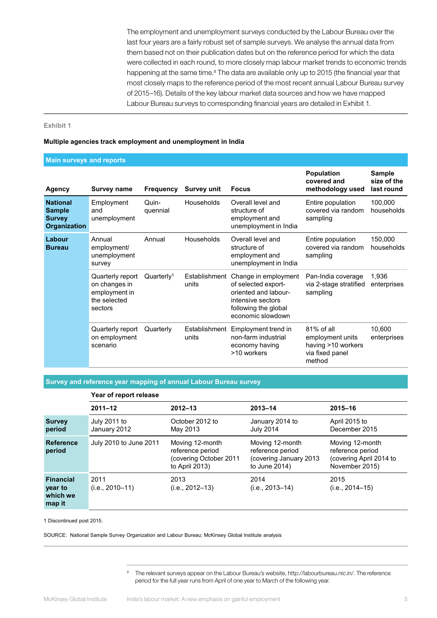The employment and unemployment surveys conducted by the Labour Bureau over the last four years are a fairly robust set of sample surveys. We analyse the annual data from them based not on their publication dates but on the reference period for which the data were collected in each round, to more closely map labour market trends to economic trends happening at the same time.<sup>8</sup> The data are available only up to 2015 (the financial year that most closely maps to the reference period of the most recent annual Labour Bureau survey of 2015–16). Details of the key labour market data sources and how we have mapped Labour Bureau surveys to corresponding financial years are detailed in Exhibit 1.

#### **Exhibit 1**

#### **Multiple agencies track employment and unemployment in India**

#### **Main surveys and reports**

| <b>Agency</b>                                                            | <b>Survey name</b>                                                            | <b>Frequency</b>     | <b>Survey unit</b>     | <b>Focus</b>                                                                                                                          | <b>Population</b><br>covered and<br>methodology used                                 | <b>Sample</b><br>size of the<br>last round |
|--------------------------------------------------------------------------|-------------------------------------------------------------------------------|----------------------|------------------------|---------------------------------------------------------------------------------------------------------------------------------------|--------------------------------------------------------------------------------------|--------------------------------------------|
| <b>National</b><br><b>Sample</b><br><b>Survey</b><br><b>Organization</b> | Employment<br>and<br>unemployment                                             | Quin-<br>quennial    | Households             | Overall level and<br>structure of<br>employment and<br>unemployment in India                                                          | Entire population<br>covered via random<br>sampling                                  | 100,000<br>households                      |
| Labour<br><b>Bureau</b>                                                  | Annual<br>employment/<br>unemployment<br>survey                               | Annual               | Households             | Overall level and<br>structure of<br>employment and<br>unemployment in India                                                          | Entire population<br>covered via random<br>sampling                                  | 150,000<br>households                      |
|                                                                          | Quarterly report<br>on changes in<br>employment in<br>the selected<br>sectors | Quarter <sub>l</sub> | Establishment<br>units | Change in employment<br>of selected export-<br>oriented and labour-<br>intensive sectors<br>following the global<br>economic slowdown | Pan-India coverage<br>via 2-stage stratified<br>sampling                             | 1,936<br>enterprises                       |
|                                                                          | Quarterly report<br>on employment<br>scenario                                 | Quarterly            | Establishment<br>units | Employment trend in<br>non-farm industrial<br>economy having<br>>10 workers                                                           | $81\%$ of all<br>employment units<br>having >10 workers<br>via fixed panel<br>method | 10,600<br>enterprises                      |

**Survey and reference year mapping of annual Labour Bureau survey**

|                                                   | Year of report release       |                                                                                 |                                                                                |                                                                                  |  |  |  |
|---------------------------------------------------|------------------------------|---------------------------------------------------------------------------------|--------------------------------------------------------------------------------|----------------------------------------------------------------------------------|--|--|--|
|                                                   | $2011 - 12$                  | $2012 - 13$                                                                     | $2013 - 14$                                                                    | $2015 - 16$                                                                      |  |  |  |
| <b>Survey</b><br>period                           | July 2011 to<br>January 2012 | October 2012 to<br>May 2013                                                     | January 2014 to<br><b>July 2014</b>                                            | April 2015 to<br>December 2015                                                   |  |  |  |
| <b>Reference</b><br>period                        | July 2010 to June 2011       | Moving 12-month<br>reference period<br>(covering October 2011<br>to April 2013) | Moving 12-month<br>reference period<br>(covering January 2013<br>to June 2014) | Moving 12-month<br>reference period<br>(covering April 2014 to<br>November 2015) |  |  |  |
| <b>Financial</b><br>year to<br>which we<br>map it | 2011<br>$(i.e., 2010-11)$    | 2013<br>$(i.e., 2012-13)$                                                       | 2014<br>$(i.e., 2013 - 14)$                                                    | 2015<br>$(i.e., 2014 - 15)$                                                      |  |  |  |

1 Discontinued post 2015.

SOURCE: National Sample Survey Organization and Labour Bureau; McKinsey Global Institute analysis

<sup>8</sup> The relevant surveys appear on the Labour Bureau's website, http://labourbureau.nic.in/. The reference period for the full year runs from April of one year to March of the following year.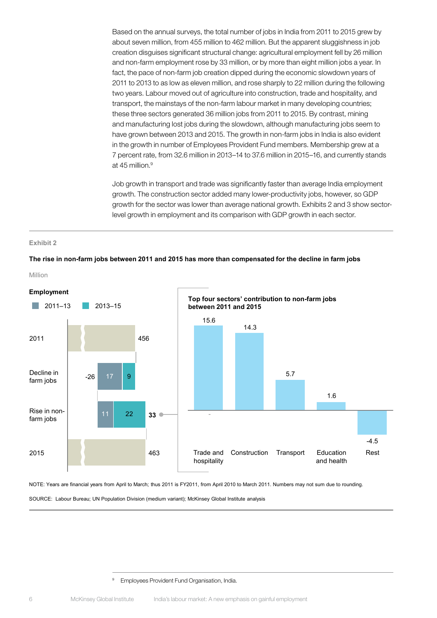Based on the annual surveys, the total number of jobs in India from 2011 to 2015 grew by about seven million, from 455 million to 462 million. But the apparent sluggishness in job creation disguises significant structural change: agricultural employment fell by 26 million and non-farm employment rose by 33 million, or by more than eight million jobs a year. In fact, the pace of non-farm job creation dipped during the economic slowdown years of 2011 to 2013 to as low as eleven million, and rose sharply to 22 million during the following two years. Labour moved out of agriculture into construction, trade and hospitality, and transport, the mainstays of the non-farm labour market in many developing countries; these three sectors generated 36 million jobs from 2011 to 2015. By contrast, mining and manufacturing lost jobs during the slowdown, although manufacturing jobs seem to have grown between 2013 and 2015. The growth in non-farm jobs in India is also evident in the growth in number of Employees Provident Fund members. Membership grew at a 7 percent rate, from 32.6 million in 2013–14 to 37.6 million in 2015–16, and currently stands at 45 million.<sup>9</sup>

Job growth in transport and trade was significantly faster than average India employment growth. The construction sector added many lower-productivity jobs, however, so GDP growth for the sector was lower than average national growth. Exhibits 2 and 3 show sectorlevel growth in employment and its comparison with GDP growth in each sector.

#### **Exhibit 2**

#### **The rise in non-farm jobs between 2011 and 2015 has more than compensated for the decline in farm jobs**



NOTE: Years are financial years from April to March; thus 2011 is FY2011, from April 2010 to March 2011. Numbers may not sum due to rounding.

SOURCE: Labour Bureau; UN Population Division (medium variant); McKinsey Global Institute analysis

<sup>&</sup>lt;sup>9</sup> Employees Provident Fund Organisation, India.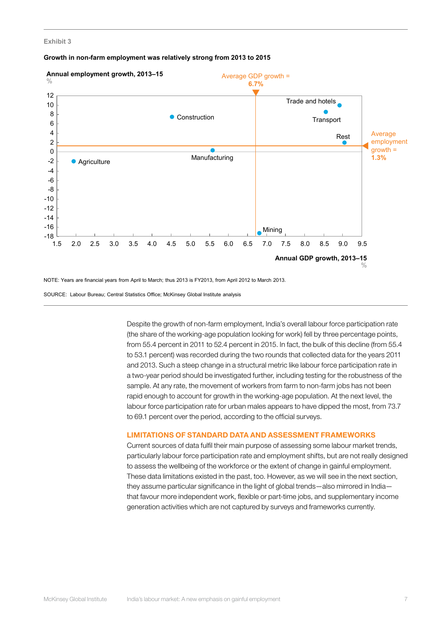#### **Exhibit 3**





NOTE: Years are financial years from April to March; thus 2013 is FY2013, from April 2012 to March 2013.

SOURCE: Labour Bureau; Central Statistics Office; McKinsey Global Institute analysis

Despite the growth of non-farm employment, India's overall labour force participation rate (the share of the working-age population looking for work) fell by three percentage points, from 55.4 percent in 2011 to 52.4 percent in 2015. In fact, the bulk of this decline (from 55.4 to 53.1 percent) was recorded during the two rounds that collected data for the years 2011 and 2013. Such a steep change in a structural metric like labour force participation rate in a two-year period should be investigated further, including testing for the robustness of the sample. At any rate, the movement of workers from farm to non-farm jobs has not been rapid enough to account for growth in the working-age population. At the next level, the labour force participation rate for urban males appears to have dipped the most, from 73.7 to 69.1 percent over the period, according to the official surveys.

#### LIMITATIONS OF STANDARD DATA AND ASSESSMENT FRAMEWORKS

Current sources of data fulfil their main purpose of assessing some labour market trends, particularly labour force participation rate and employment shifts, but are not really designed to assess the wellbeing of the workforce or the extent of change in gainful employment. These data limitations existed in the past, too. However, as we will see in the next section, they assume particular significance in the light of global trends—also mirrored in India that favour more independent work, flexible or part-time jobs, and supplementary income generation activities which are not captured by surveys and frameworks currently.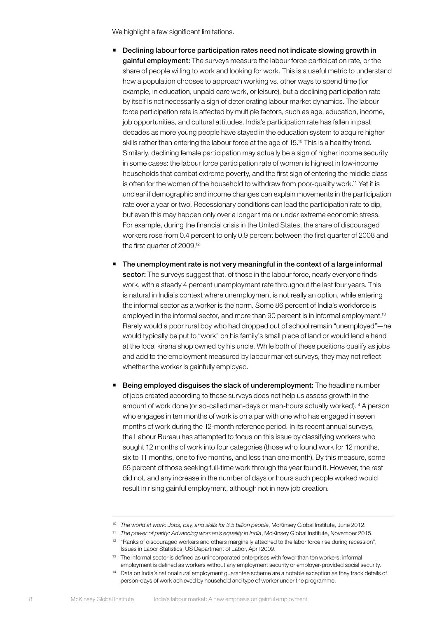We highlight a few significant limitations.

- **•** Declining labour force participation rates need not indicate slowing growth in gainful employment: The surveys measure the labour force participation rate, or the share of people willing to work and looking for work. This is a useful metric to understand how a population chooses to approach working vs. other ways to spend time (for example, in education, unpaid care work, or leisure), but a declining participation rate by itself is not necessarily a sign of deteriorating labour market dynamics. The labour force participation rate is affected by multiple factors, such as age, education, income, job opportunities, and cultural attitudes. India's participation rate has fallen in past decades as more young people have stayed in the education system to acquire higher skills rather than entering the labour force at the age of 15.<sup>10</sup> This is a healthy trend. Similarly, declining female participation may actually be a sign of higher income security in some cases: the labour force participation rate of women is highest in low-income households that combat extreme poverty, and the first sign of entering the middle class is often for the woman of the household to withdraw from poor-quality work.<sup>11</sup> Yet it is unclear if demographic and income changes can explain movements in the participation rate over a year or two. Recessionary conditions can lead the participation rate to dip, but even this may happen only over a longer time or under extreme economic stress. For example, during the financial crisis in the United States, the share of discouraged workers rose from 0.4 percent to only 0.9 percent between the first quarter of 2008 and the first quarter of 2009.12
- **The unemployment rate is not very meaningful in the context of a large informal** sector: The surveys suggest that, of those in the labour force, nearly everyone finds work, with a steady 4 percent unemployment rate throughout the last four years. This is natural in India's context where unemployment is not really an option, while entering the informal sector as a worker is the norm. Some 86 percent of India's workforce is employed in the informal sector, and more than 90 percent is in informal employment.<sup>13</sup> Rarely would a poor rural boy who had dropped out of school remain "unemployed"—he would typically be put to "work" on his family's small piece of land or would lend a hand at the local kirana shop owned by his uncle. While both of these positions qualify as jobs and add to the employment measured by labour market surveys, they may not reflect whether the worker is gainfully employed.
- **Being employed disquises the slack of underemployment:** The headline number of jobs created according to these surveys does not help us assess growth in the amount of work done (or so-called man-days or man-hours actually worked).14 A person who engages in ten months of work is on a par with one who has engaged in seven months of work during the 12-month reference period. In its recent annual surveys, the Labour Bureau has attempted to focus on this issue by classifying workers who sought 12 months of work into four categories (those who found work for 12 months, six to 11 months, one to five months, and less than one month). By this measure, some 65 percent of those seeking full-time work through the year found it. However, the rest did not, and any increase in the number of days or hours such people worked would result in rising gainful employment, although not in new job creation.

<sup>&</sup>lt;sup>10</sup> The world at work: Jobs, pay, and skills for 3.5 billion people, McKinsey Global Institute, June 2012.

<sup>11</sup> *The power of parity: Advancing women's equality in India*, McKinsey Global Institute, November 2015.

<sup>&</sup>lt;sup>12</sup> "Ranks of discouraged workers and others marginally attached to the labor force rise during recession", Issues in Labor Statistics, US Department of Labor, April 2009.

<sup>&</sup>lt;sup>13</sup> The informal sector is defined as unincorporated enterprises with fewer than ten workers; informal employment is defined as workers without any employment security or employer-provided social security.

<sup>&</sup>lt;sup>14</sup> Data on India's national rural employment quarantee scheme are a notable exception as they track details of person-days of work achieved by household and type of worker under the programme.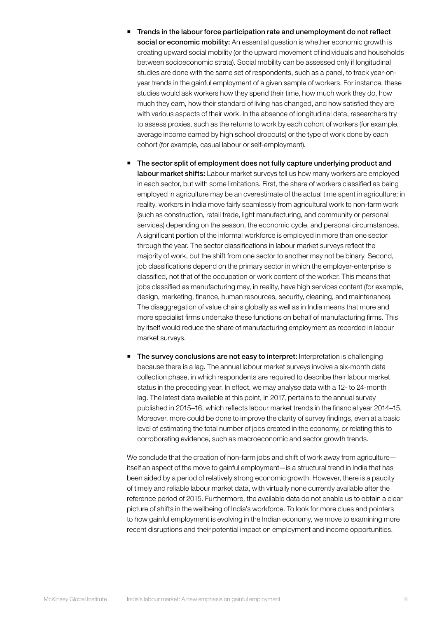- Trends in the labour force participation rate and unemployment do not reflect social or economic mobility: An essential question is whether economic growth is creating upward social mobility (or the upward movement of individuals and households between socioeconomic strata). Social mobility can be assessed only if longitudinal studies are done with the same set of respondents, such as a panel, to track year-onyear trends in the gainful employment of a given sample of workers. For instance, these studies would ask workers how they spend their time, how much work they do, how much they earn, how their standard of living has changed, and how satisfied they are with various aspects of their work. In the absence of longitudinal data, researchers try to assess proxies, such as the returns to work by each cohort of workers (for example, average income earned by high school dropouts) or the type of work done by each cohort (for example, casual labour or self-employment).
- The sector split of employment does not fully capture underlying product and labour market shifts: Labour market surveys tell us how many workers are employed in each sector, but with some limitations. First, the share of workers classified as being employed in agriculture may be an overestimate of the actual time spent in agriculture; in reality, workers in India move fairly seamlessly from agricultural work to non-farm work (such as construction, retail trade, light manufacturing, and community or personal services) depending on the season, the economic cycle, and personal circumstances. A significant portion of the informal workforce is employed in more than one sector through the year. The sector classifications in labour market surveys reflect the majority of work, but the shift from one sector to another may not be binary. Second, job classifications depend on the primary sector in which the employer-enterprise is classified, not that of the occupation or work content of the worker. This means that jobs classified as manufacturing may, in reality, have high services content (for example, design, marketing, finance, human resources, security, cleaning, and maintenance). The disaggregation of value chains globally as well as in India means that more and more specialist firms undertake these functions on behalf of manufacturing firms. This by itself would reduce the share of manufacturing employment as recorded in labour market surveys.
- The survey conclusions are not easy to interpret: Interpretation is challenging because there is a lag. The annual labour market surveys involve a six-month data collection phase, in which respondents are required to describe their labour market status in the preceding year. In effect, we may analyse data with a 12- to 24-month lag. The latest data available at this point, in 2017, pertains to the annual survey published in 2015–16, which reflects labour market trends in the financial year 2014–15. Moreover, more could be done to improve the clarity of survey findings, even at a basic level of estimating the total number of jobs created in the economy, or relating this to corroborating evidence, such as macroeconomic and sector growth trends.

We conclude that the creation of non-farm jobs and shift of work away from agriculture itself an aspect of the move to gainful employment—is a structural trend in India that has been aided by a period of relatively strong economic growth. However, there is a paucity of timely and reliable labour market data, with virtually none currently available after the reference period of 2015. Furthermore, the available data do not enable us to obtain a clear picture of shifts in the wellbeing of India's workforce. To look for more clues and pointers to how gainful employment is evolving in the Indian economy, we move to examining more recent disruptions and their potential impact on employment and income opportunities.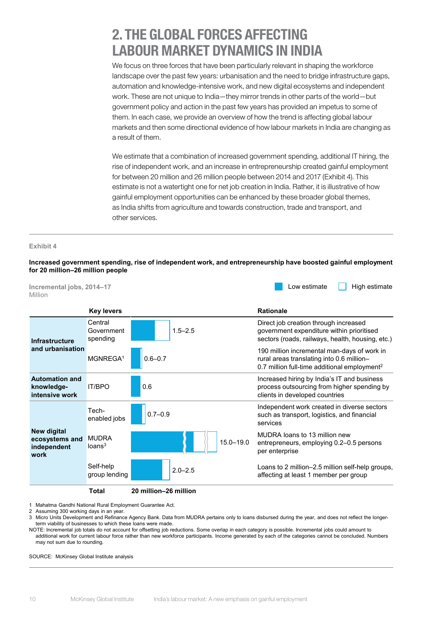### <span id="page-11-0"></span>2. THE GLOBAL FORCES AFFECTING LABOUR MARKET DYNAMICS IN INDIA

We focus on three forces that have been particularly relevant in shaping the workforce landscape over the past few years: urbanisation and the need to bridge infrastructure gaps, automation and knowledge-intensive work, and new digital ecosystems and independent work. These are not unique to India—they mirror trends in other parts of the world—but government policy and action in the past few years has provided an impetus to some of them. In each case, we provide an overview of how the trend is affecting global labour markets and then some directional evidence of how labour markets in India are changing as a result of them.

We estimate that a combination of increased government spending, additional IT hiring, the rise of independent work, and an increase in entrepreneurship created gainful employment for between 20 million and 26 million people between 2014 and 2017 (Exhibit 4). This estimate is not a watertight one for net job creation in India. Rather, it is illustrative of how gainful employment opportunities can be enhanced by these broader global themes, as India shifts from agriculture and towards construction, trade and transport, and other services.

#### **Exhibit 4**

**Increased government spending, rise of independent work, and entrepreneurship have boosted gainful employment for 20 million–26 million people**



1 Mahatma Gandhi National Rural Employment Guarantee Act.

2 Assuming 300 working days in an year.

3 Micro Units Development and Refinance Agency Bank. Data from MUDRA pertains only to loans disbursed during the year, and does not reflect the longerterm viability of businesses to which these loans were made.

NOTE: Incremental job totals do not account for offsetting job reductions. Some overlap in each category is possible. Incremental jobs could amount to additional work for current labour force rather than new workforce participants. Income generated by each of the categories cannot be concluded. Numbers may not sum due to rounding.

SOURCE: McKinsey Global Institute analysis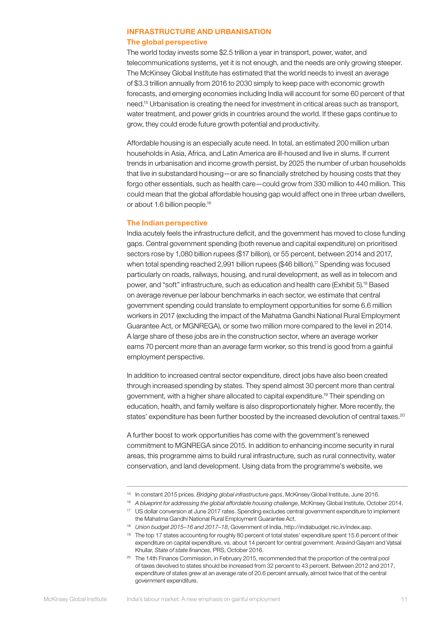#### INFRASTRUCTURE AND URBANISATION The global perspective

The world today invests some \$2.5 trillion a year in transport, power, water, and telecommunications systems, yet it is not enough, and the needs are only growing steeper. The McKinsey Global Institute has estimated that the world needs to invest an average of \$3.3 trillion annually from 2016 to 2030 simply to keep pace with economic growth forecasts, and emerging economies including India will account for some 60 percent of that need.15 Urbanisation is creating the need for investment in critical areas such as transport, water treatment, and power grids in countries around the world. If these gaps continue to grow, they could erode future growth potential and productivity.

Affordable housing is an especially acute need. In total, an estimated 200 million urban households in Asia, Africa, and Latin America are ill-housed and live in slums. If current trends in urbanisation and income growth persist, by 2025 the number of urban households that live in substandard housing—or are so financially stretched by housing costs that they forgo other essentials, such as health care—could grow from 330 million to 440 million. This could mean that the global affordable housing gap would affect one in three urban dwellers, or about 1.6 billion people.16

#### The Indian perspective

India acutely feels the infrastructure deficit, and the government has moved to close funding gaps. Central government spending (both revenue and capital expenditure) on prioritised sectors rose by 1,080 billion rupees (\$17 billion), or 55 percent, between 2014 and 2017, when total spending reached 2,991 billion rupees (\$46 billion).<sup>17</sup> Spending was focused particularly on roads, railways, housing, and rural development, as well as in telecom and power, and "soft" infrastructure, such as education and health care (Exhibit 5).18 Based on average revenue per labour benchmarks in each sector, we estimate that central government spending could translate to employment opportunities for some 6.6 million workers in 2017 (excluding the impact of the Mahatma Gandhi National Rural Employment Guarantee Act, or MGNREGA), or some two million more compared to the level in 2014. A large share of these jobs are in the construction sector, where an average worker earns 70 percent more than an average farm worker, so this trend is good from a gainful employment perspective.

In addition to increased central sector expenditure, direct jobs have also been created through increased spending by states. They spend almost 30 percent more than central government, with a higher share allocated to capital expenditure.<sup>19</sup> Their spending on education, health, and family welfare is also disproportionately higher. More recently, the states' expenditure has been further boosted by the increased devolution of central taxes.<sup>20</sup>

A further boost to work opportunities has come with the government's renewed commitment to MGNREGA since 2015. In addition to enhancing income security in rural areas, this programme aims to build rural infrastructure, such as rural connectivity, water conservation, and land development. Using data from the programme's website, we

<sup>15</sup> In constant 2015 prices. *Bridging global infrastructure gaps*, McKinsey Global Institute, June 2016.

<sup>16</sup> *A blueprint for addressing the global affordable housing challenge*, McKinsey Global Institute, October 2014.

<sup>17</sup> US dollar conversion at June 2017 rates. Spending excludes central government expenditure to implement the Mahatma Gandhi National Rural Employment Guarantee Act.

<sup>18</sup> *Union budget 2015–16 and 2017–18*, Government of India, http://indiabudget.nic.in/index.asp.

<sup>&</sup>lt;sup>19</sup> The top 17 states accounting for roughly 80 percent of total states' expenditure spent 15.6 percent of their expenditure on capital expenditure, vs. about 14 percent for central government. Aravind Gayam and Vatsal Khullar, *State of state finances*, PRS, October 2016.

<sup>&</sup>lt;sup>20</sup> The 14th Finance Commission, in February 2015, recommended that the proportion of the central pool of taxes devolved to states should be increased from 32 percent to 43 percent. Between 2012 and 2017, expenditure of states grew at an average rate of 20.6 percent annually, almost twice that of the central government expenditure.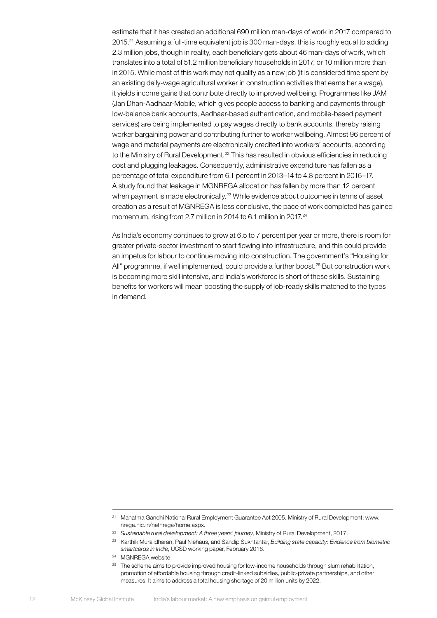estimate that it has created an additional 690 million man-days of work in 2017 compared to 2015.21 Assuming a full-time equivalent job is 300 man-days, this is roughly equal to adding 2.3 million jobs, though in reality, each beneficiary gets about 46 man-days of work, which translates into a total of 51.2 million beneficiary households in 2017, or 10 million more than in 2015. While most of this work may not qualify as a new job (it is considered time spent by an existing daily-wage agricultural worker in construction activities that earns her a wage), it yields income gains that contribute directly to improved wellbeing. Programmes like JAM (Jan Dhan-Aadhaar-Mobile, which gives people access to banking and payments through low-balance bank accounts, Aadhaar-based authentication, and mobile-based payment services) are being implemented to pay wages directly to bank accounts, thereby raising worker bargaining power and contributing further to worker wellbeing. Almost 96 percent of wage and material payments are electronically credited into workers' accounts, according to the Ministry of Rural Development.<sup>22</sup> This has resulted in obvious efficiencies in reducing cost and plugging leakages. Consequently, administrative expenditure has fallen as a percentage of total expenditure from 6.1 percent in 2013–14 to 4.8 percent in 2016–17. A study found that leakage in MGNREGA allocation has fallen by more than 12 percent when payment is made electronically.<sup>23</sup> While evidence about outcomes in terms of asset creation as a result of MGNREGA is less conclusive, the pace of work completed has gained momentum, rising from 2.7 million in 2014 to 6.1 million in 2017.<sup>24</sup>

As India's economy continues to grow at 6.5 to 7 percent per year or more, there is room for greater private-sector investment to start flowing into infrastructure, and this could provide an impetus for labour to continue moving into construction. The government's "Housing for All" programme, if well implemented, could provide a further boost.25 But construction work is becoming more skill intensive, and India's workforce is short of these skills. Sustaining benefits for workers will mean boosting the supply of job-ready skills matched to the types in demand.

<sup>24</sup> MGNREGA website

<sup>&</sup>lt;sup>21</sup> Mahatma Gandhi National Rural Employment Guarantee Act 2005, Ministry of Rural Development; www. nrega.nic.in/netnrega/home.aspx.

<sup>22</sup> *Sustainable rural development: A three years' journey*, Ministry of Rural Development, 2017.

<sup>23</sup> Karthik Muralidharan, Paul Niehaus, and Sandip Sukhtantar, *Building state capacity: Evidence from biometric smartcards in India*, UCSD working paper, February 2016.

<sup>&</sup>lt;sup>25</sup> The scheme aims to provide improved housing for low-income households through slum rehabilitation, promotion of affordable housing through credit-linked subsidies, public-private partnerships, and other measures. It aims to address a total housing shortage of 20 million units by 2022.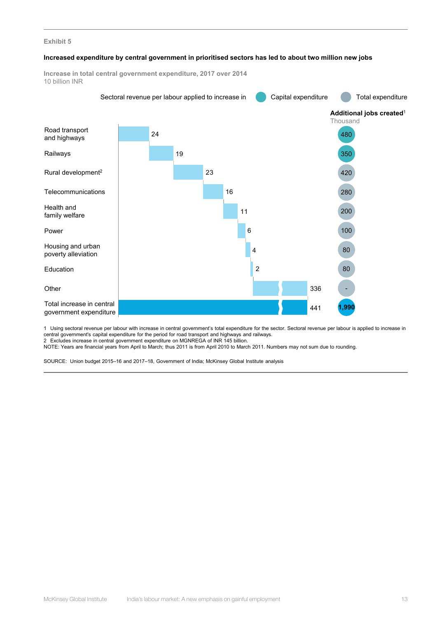#### **Exhibit 5**

#### **Increased expenditure by central government in prioritised sectors has led to about two million new jobs**



1 Using sectoral revenue per labour with increase in central government's total expenditure for the sector. Sectoral revenue per labour is applied to increase in central government's capital expenditure for the period for road transport and highways and railways.

2 Excludes increase in central government expenditure on MGNREGA of INR 145 billion.

NOTE: Years are financial years from April to March; thus 2011 is from April 2010 to March 2011. Numbers may not sum due to rounding.

SOURCE: Union budget 2015–16 and 2017–18, Government of India; McKinsey Global Institute analysis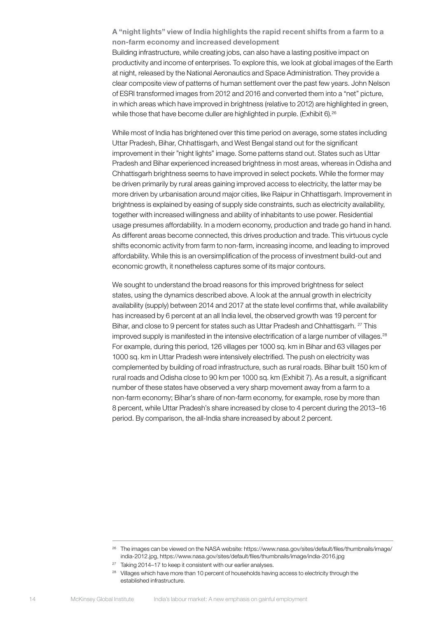A "night lights" view of India highlights the rapid recent shifts from a farm to a non-farm economy and increased development Building infrastructure, while creating jobs, can also have a lasting positive impact on productivity and income of enterprises. To explore this, we look at global images of the Earth at night, released by the National Aeronautics and Space Administration. They provide a clear composite view of patterns of human settlement over the past few years. John Nelson of ESRI transformed images from 2012 and 2016 and converted them into a "net" picture, in which areas which have improved in brightness (relative to 2012) are highlighted in green, while those that have become duller are highlighted in purple. (Exhibit 6).<sup>26</sup>

While most of India has brightened over this time period on average, some states including Uttar Pradesh, Bihar, Chhattisgarh, and West Bengal stand out for the significant improvement in their "night lights" image. Some patterns stand out. States such as Uttar Pradesh and Bihar experienced increased brightness in most areas, whereas in Odisha and Chhattisgarh brightness seems to have improved in select pockets. While the former may be driven primarily by rural areas gaining improved access to electricity, the latter may be more driven by urbanisation around major cities, like Raipur in Chhattisgarh. Improvement in brightness is explained by easing of supply side constraints, such as electricity availability, together with increased willingness and ability of inhabitants to use power. Residential usage presumes affordability. In a modern economy, production and trade go hand in hand. As different areas become connected, this drives production and trade. This virtuous cycle shifts economic activity from farm to non-farm, increasing income, and leading to improved affordability. While this is an oversimplification of the process of investment build-out and economic growth, it nonetheless captures some of its major contours.

We sought to understand the broad reasons for this improved brightness for select states, using the dynamics described above. A look at the annual growth in electricity availability (supply) between 2014 and 2017 at the state level confirms that, while availability has increased by 6 percent at an all India level, the observed growth was 19 percent for Bihar, and close to 9 percent for states such as Uttar Pradesh and Chhattisgarh. <sup>27</sup> This improved supply is manifested in the intensive electrification of a large number of villages.<sup>28</sup> For example, during this period, 126 villages per 1000 sq. km in Bihar and 63 villages per 1000 sq. km in Uttar Pradesh were intensively electrified. The push on electricity was complemented by building of road infrastructure, such as rural roads. Bihar built 150 km of rural roads and Odisha close to 90 km per 1000 sq. km (Exhibit 7). As a result, a significant number of these states have observed a very sharp movement away from a farm to a non-farm economy; Bihar's share of non-farm economy, for example, rose by more than 8 percent, while Uttar Pradesh's share increased by close to 4 percent during the 2013–16 period. By comparison, the all-India share increased by about 2 percent.

<sup>&</sup>lt;sup>26</sup> The images can be viewed on the NASA website: https://www.nasa.gov/sites/default/files/thumbnails/image/ india-2012.jpg, https://www.nasa.gov/sites/default/files/thumbnails/image/india-2016.jpg

 $27$  Taking 2014–17 to keep it consistent with our earlier analyses.

<sup>&</sup>lt;sup>28</sup> Villages which have more than 10 percent of households having access to electricity through the established infrastructure.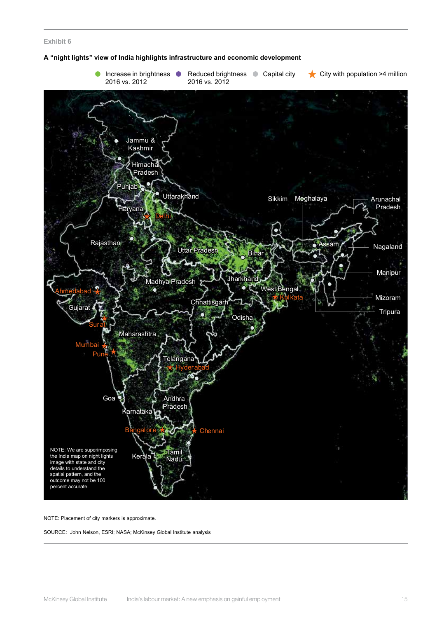#### **Exhibit 6**





NOTE: Placement of city markers is approximate.

SOURCE: John Nelson, ESRI; NASA; McKinsey Global Institute analysis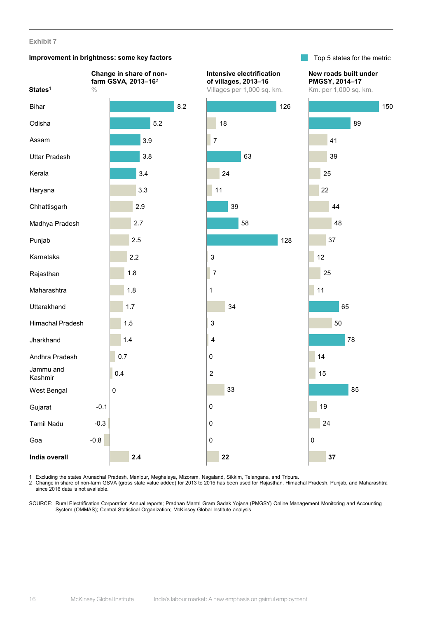#### **Exhibit 7**

#### **Improvement in brightness: some key factors**



150

1 Excluding the states Arunachal Pradesh, Manipur, Meghalaya, Mizoram, Nagaland, Sikkim, Telangana, and Tripura.

2 Change in share of non-farm GSVA (gross state value added) for 2013 to 2015 has been used for Rajasthan, Himachal Pradesh, Punjab, and Maharashtra since 2016 data is not available.

SOURCE: Rural Electrification Corporation Annual reports; Pradhan Mantri Gram Sadak Yojana (PMGSY) Online Management Monitoring and Accounting System (OMMAS); Central Statistical Organization; McKinsey Global Institute analysis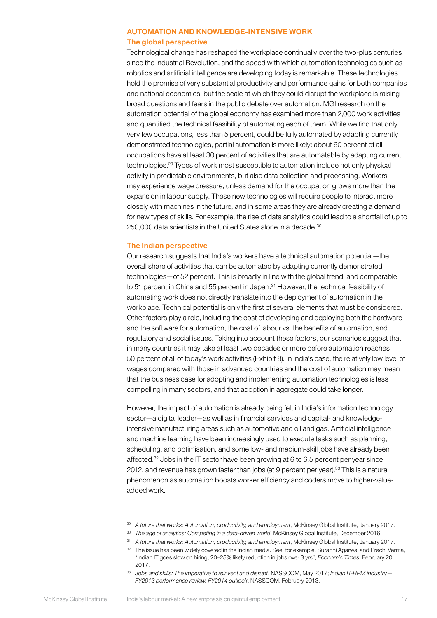### AUTOMATION AND KNOWLEDGE-INTENSIVE WORK The global perspective

Technological change has reshaped the workplace continually over the two-plus centuries since the Industrial Revolution, and the speed with which automation technologies such as robotics and artificial intelligence are developing today is remarkable. These technologies hold the promise of very substantial productivity and performance gains for both companies and national economies, but the scale at which they could disrupt the workplace is raising broad questions and fears in the public debate over automation. MGI research on the automation potential of the global economy has examined more than 2,000 work activities and quantified the technical feasibility of automating each of them. While we find that only very few occupations, less than 5 percent, could be fully automated by adapting currently demonstrated technologies, partial automation is more likely: about 60 percent of all occupations have at least 30 percent of activities that are automatable by adapting current technologies.29 Types of work most susceptible to automation include not only physical activity in predictable environments, but also data collection and processing. Workers may experience wage pressure, unless demand for the occupation grows more than the expansion in labour supply. These new technologies will require people to interact more closely with machines in the future, and in some areas they are already creating a demand for new types of skills. For example, the rise of data analytics could lead to a shortfall of up to 250,000 data scientists in the United States alone in a decade.<sup>30</sup>

#### The Indian perspective

Our research suggests that India's workers have a technical automation potential—the overall share of activities that can be automated by adapting currently demonstrated technologies—of 52 percent. This is broadly in line with the global trend, and comparable to 51 percent in China and 55 percent in Japan.<sup>31</sup> However, the technical feasibility of automating work does not directly translate into the deployment of automation in the workplace. Technical potential is only the first of several elements that must be considered. Other factors play a role, including the cost of developing and deploying both the hardware and the software for automation, the cost of labour vs. the benefits of automation, and regulatory and social issues. Taking into account these factors, our scenarios suggest that in many countries it may take at least two decades or more before automation reaches 50 percent of all of today's work activities (Exhibit 8). In India's case, the relatively low level of wages compared with those in advanced countries and the cost of automation may mean that the business case for adopting and implementing automation technologies is less compelling in many sectors, and that adoption in aggregate could take longer.

However, the impact of automation is already being felt in India's information technology sector—a digital leader—as well as in financial services and capital- and knowledgeintensive manufacturing areas such as automotive and oil and gas. Artificial intelligence and machine learning have been increasingly used to execute tasks such as planning, scheduling, and optimisation, and some low- and medium-skill jobs have already been affected.32 Jobs in the IT sector have been growing at 6 to 6.5 percent per year since 2012, and revenue has grown faster than jobs (at 9 percent per year).<sup>33</sup> This is a natural phenomenon as automation boosts worker efficiency and coders move to higher-valueadded work.

<sup>30</sup> *The age of analytics: Competing in a data-driven world*, McKinsey Global Institute, December 2016.

<sup>&</sup>lt;sup>29</sup> A future that works: Automation, productivity, and employment, McKinsey Global Institute, January 2017.

<sup>31</sup> *A future that works: Automation, productivity, and employment*, McKinsey Global Institute, January 2017.

<sup>32</sup> The issue has been widely covered in the Indian media. See, for example, Surabhi Agarwal and Prachi Verma, "Indian IT goes slow on hiring, 20–25% likely reduction in jobs over 3 yrs", *Economic Times*, February 20, 2017.

<sup>&</sup>lt;sup>33</sup> Jobs and skills: The imperative to reinvent and disrupt, NASSCOM, May 2017; *Indian IT-BPM industry*— *FY2013 performance review, FY2014 outlook*, NASSCOM, February 2013.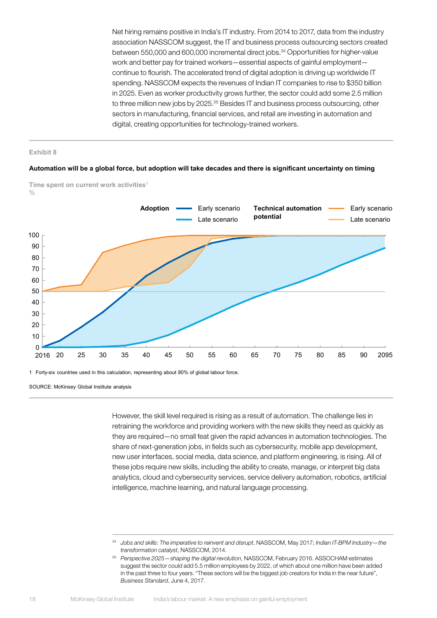Net hiring remains positive in India's IT industry. From 2014 to 2017, data from the industry association NASSCOM suggest, the IT and business process outsourcing sectors created between 550,000 and 600,000 incremental direct jobs.<sup>34</sup> Opportunities for higher-value work and better pay for trained workers—essential aspects of gainful employment continue to flourish. The accelerated trend of digital adoption is driving up worldwide IT spending. NASSCOM expects the revenues of Indian IT companies to rise to \$350 billion in 2025. Even as worker productivity grows further, the sector could add some 2.5 million to three million new jobs by 2025.<sup>35</sup> Besides IT and business process outsourcing, other sectors in manufacturing, financial services, and retail are investing in automation and digital, creating opportunities for technology-trained workers.

#### **Exhibit 8**

#### **Automation will be a global force, but adoption will take decades and there is significant uncertainty on timing**



**Time spent on current work activities**<sup>1</sup>  $\frac{0}{0}$ 

SOURCE: McKinsey Global Institute analysis

However, the skill level required is rising as a result of automation. The challenge lies in retraining the workforce and providing workers with the new skills they need as quickly as they are required—no small feat given the rapid advances in automation technologies. The share of next-generation jobs, in fields such as cybersecurity, mobile app development, new user interfaces, social media, data science, and platform engineering, is rising. All of these jobs require new skills, including the ability to create, manage, or interpret big data analytics, cloud and cybersecurity services, service delivery automation, robotics, artificial intelligence, machine learning, and natural language processing.

<sup>34</sup> *Jobs and skills: The imperative to reinvent and disrupt*, NASSCOM, May 2017; *Indian IT-BPM Industry—the transformation catalyst*, NASSCOM, 2014.

<sup>35</sup> *Perspective 2025—shaping the digital revolution*, NASSCOM, February 2016. ASSOCHAM estimates suggest the sector could add 5.5 million employees by 2022, of which about one million have been added in the past three to four years. "These sectors will be the biggest job creators for India in the near future", *Business Standard*, June 4, 2017.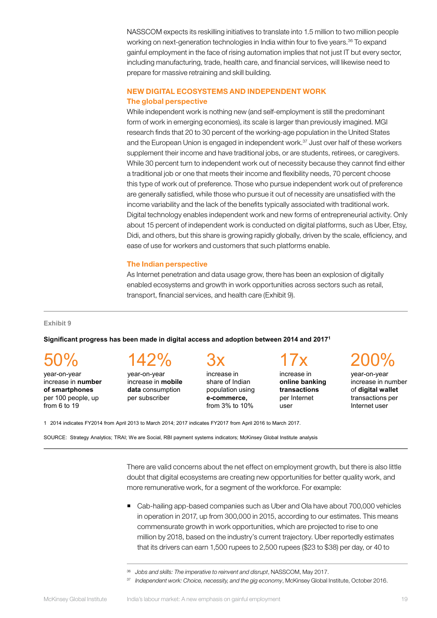NASSCOM expects its reskilling initiatives to translate into 1.5 million to two million people working on next-generation technologies in India within four to five years.<sup>36</sup> To expand gainful employment in the face of rising automation implies that not just IT but every sector, including manufacturing, trade, health care, and financial services, will likewise need to prepare for massive retraining and skill building.

#### NEW DIGITAL ECOSYSTEMS AND INDEPENDENT WORK The global perspective

While independent work is nothing new (and self-employment is still the predominant form of work in emerging economies), its scale is larger than previously imagined. MGI research finds that 20 to 30 percent of the working-age population in the United States and the European Union is engaged in independent work.<sup>37</sup> Just over half of these workers supplement their income and have traditional jobs, or are students, retirees, or caregivers. While 30 percent turn to independent work out of necessity because they cannot find either a traditional job or one that meets their income and flexibility needs, 70 percent choose this type of work out of preference. Those who pursue independent work out of preference are generally satisfied, while those who pursue it out of necessity are unsatisfied with the income variability and the lack of the benefits typically associated with traditional work. Digital technology enables independent work and new forms of entrepreneurial activity. Only about 15 percent of independent work is conducted on digital platforms, such as Uber, Etsy, Didi, and others, but this share is growing rapidly globally, driven by the scale, efficiency, and ease of use for workers and customers that such platforms enable.

#### The Indian perspective

As Internet penetration and data usage grow, there has been an explosion of digitally enabled ecosystems and growth in work opportunities across sectors such as retail, transport, financial services, and health care (Exhibit 9).

#### **Exhibit 9**

#### **Significant progress has been made in digital access and adoption between 2014 and 20171**

50%

year-on-year increase in **number of smartphones**  per 100 people, up from 6 to 19

### 142%

year-on-year increase in **mobile data** consumption per subscriber

## 3x

increase in share of Indian population using **e-commerce,** from 3% to 10%

17x increase in

**online banking transactions** per Internet user

### 200%

year-on-year increase in number of **digital wallet**  transactions per Internet user

1 2014 indicates FY2014 from April 2013 to March 2014; 2017 indicates FY2017 from April 2016 to March 2017.

SOURCE: Strategy Analytics; TRAI; We are Social, RBI payment systems indicators; McKinsey Global Institute analysis

There are valid concerns about the net effect on employment growth, but there is also little doubt that digital ecosystems are creating new opportunities for better quality work, and more remunerative work, for a segment of the workforce. For example:

 Cab-hailing app-based companies such as Uber and Ola have about 700,000 vehicles in operation in 2017, up from 300,000 in 2015, according to our estimates. This means commensurate growth in work opportunities, which are projected to rise to one million by 2018, based on the industry's current trajectory. Uber reportedly estimates that its drivers can earn 1,500 rupees to 2,500 rupees (\$23 to \$38) per day, or 40 to

<sup>37</sup> *Independent work: Choice, necessity, and the gig economy*, McKinsey Global Institute, October 2016.

<sup>36</sup> *Jobs and skills: The imperative to reinvent and disrupt*, NASSCOM, May 2017.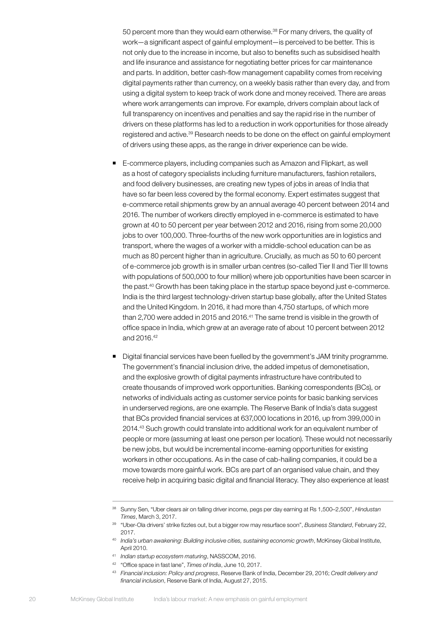50 percent more than they would earn otherwise.38 For many drivers, the quality of work—a significant aspect of gainful employment—is perceived to be better. This is not only due to the increase in income, but also to benefits such as subsidised health and life insurance and assistance for negotiating better prices for car maintenance and parts. In addition, better cash-flow management capability comes from receiving digital payments rather than currency, on a weekly basis rather than every day, and from using a digital system to keep track of work done and money received. There are areas where work arrangements can improve. For example, drivers complain about lack of full transparency on incentives and penalties and say the rapid rise in the number of drivers on these platforms has led to a reduction in work opportunities for those already registered and active.39 Research needs to be done on the effect on gainful employment of drivers using these apps, as the range in driver experience can be wide.

- E-commerce players, including companies such as Amazon and Flipkart, as well as a host of category specialists including furniture manufacturers, fashion retailers, and food delivery businesses, are creating new types of jobs in areas of India that have so far been less covered by the formal economy. Expert estimates suggest that e-commerce retail shipments grew by an annual average 40 percent between 2014 and 2016. The number of workers directly employed in e-commerce is estimated to have grown at 40 to 50 percent per year between 2012 and 2016, rising from some 20,000 jobs to over 100,000. Three-fourths of the new work opportunities are in logistics and transport, where the wages of a worker with a middle-school education can be as much as 80 percent higher than in agriculture. Crucially, as much as 50 to 60 percent of e-commerce job growth is in smaller urban centres (so-called Tier II and Tier III towns with populations of 500,000 to four million) where job opportunities have been scarcer in the past.<sup>40</sup> Growth has been taking place in the startup space beyond just e-commerce. India is the third largest technology-driven startup base globally, after the United States and the United Kingdom. In 2016, it had more than 4,750 startups, of which more than 2,700 were added in 2015 and 2016.<sup>41</sup> The same trend is visible in the growth of office space in India, which grew at an average rate of about 10 percent between 2012 and 2016.42
- Digital financial services have been fuelled by the government's JAM trinity programme. The government's financial inclusion drive, the added impetus of demonetisation, and the explosive growth of digital payments infrastructure have contributed to create thousands of improved work opportunities. Banking correspondents (BCs), or networks of individuals acting as customer service points for basic banking services in underserved regions, are one example. The Reserve Bank of India's data suggest that BCs provided financial services at 637,000 locations in 2016, up from 399,000 in 2014.43 Such growth could translate into additional work for an equivalent number of people or more (assuming at least one person per location). These would not necessarily be new jobs, but would be incremental income-earning opportunities for existing workers in other occupations. As in the case of cab-hailing companies, it could be a move towards more gainful work. BCs are part of an organised value chain, and they receive help in acquiring basic digital and financial literacy. They also experience at least

<sup>41</sup> *Indian startup ecosystem maturing*, NASSCOM, 2016.

<sup>38</sup> Sunny Sen, "Uber clears air on falling driver income, pegs per day earning at Rs 1,500–2,500", *Hindustan Times*, March 3, 2017.

<sup>39</sup> "Uber-Ola drivers' strike fizzles out, but a bigger row may resurface soon", *Business Standard*, February 22, 2017.

<sup>40</sup> *India's urban awakening: Building inclusive cities, sustaining economic growth*, McKinsey Global Institute, April 2010.

<sup>42</sup> "Office space in fast lane", *Times of India*, June 10, 2017.

<sup>43</sup> *Financial inclusion: Policy and progress*, Reserve Bank of India, December 29, 2016; *Credit delivery and financial inclusion*, Reserve Bank of India, August 27, 2015.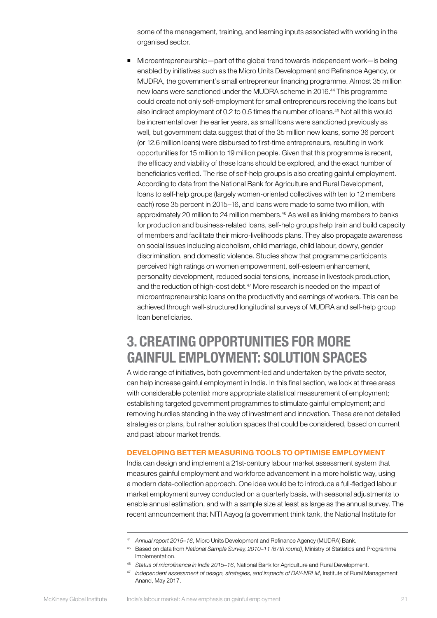some of the management, training, and learning inputs associated with working in the organised sector.

 Microentrepreneurship—part of the global trend towards independent work—is being enabled by initiatives such as the Micro Units Development and Refinance Agency, or MUDRA, the government's small entrepreneur financing programme. Almost 35 million new loans were sanctioned under the MUDRA scheme in 2016.<sup>44</sup> This programme could create not only self-employment for small entrepreneurs receiving the loans but also indirect employment of 0.2 to 0.5 times the number of loans.45 Not all this would be incremental over the earlier years, as small loans were sanctioned previously as well, but government data suggest that of the 35 million new loans, some 36 percent (or 12.6 million loans) were disbursed to first-time entrepreneurs, resulting in work opportunities for 15 million to 19 million people. Given that this programme is recent, the efficacy and viability of these loans should be explored, and the exact number of beneficiaries verified. The rise of self-help groups is also creating gainful employment. According to data from the National Bank for Agriculture and Rural Development, loans to self-help groups (largely women-oriented collectives with ten to 12 members each) rose 35 percent in 2015–16, and loans were made to some two million, with approximately 20 million to 24 million members.<sup>46</sup> As well as linking members to banks for production and business-related loans, self-help groups help train and build capacity of members and facilitate their micro-livelihoods plans. They also propagate awareness on social issues including alcoholism, child marriage, child labour, dowry, gender discrimination, and domestic violence. Studies show that programme participants perceived high ratings on women empowerment, self-esteem enhancement, personality development, reduced social tensions, increase in livestock production, and the reduction of high-cost debt.<sup>47</sup> More research is needed on the impact of microentrepreneurship loans on the productivity and earnings of workers. This can be achieved through well-structured longitudinal surveys of MUDRA and self-help group loan beneficiaries.

### <span id="page-22-0"></span>3. CREATING OPPORTUNITIES FOR MORE GAINFUL EMPLOYMENT: SOLUTION SPACES

A wide range of initiatives, both government-led and undertaken by the private sector, can help increase gainful employment in India. In this final section, we look at three areas with considerable potential: more appropriate statistical measurement of employment; establishing targeted government programmes to stimulate gainful employment; and removing hurdles standing in the way of investment and innovation. These are not detailed strategies or plans, but rather solution spaces that could be considered, based on current and past labour market trends.

#### DEVELOPING BETTER MEASURING TOOLS TO OPTIMISE EMPLOYMENT

India can design and implement a 21st-century labour market assessment system that measures gainful employment and workforce advancement in a more holistic way, using a modern data-collection approach. One idea would be to introduce a full-fledged labour market employment survey conducted on a quarterly basis, with seasonal adjustments to enable annual estimation, and with a sample size at least as large as the annual survey. The recent announcement that NITI Aayog (a government think tank, the National Institute for

<sup>44</sup> *Annual report 2015–16*, Micro Units Development and Refinance Agency (MUDRA) Bank.

<sup>45</sup> Based on data from *National Sample Survey, 2010–11 (67th round)*, Ministry of Statistics and Programme Implementation.

<sup>46</sup> *Status of microfinance in India 2015–16*, National Bank for Agriculture and Rural Development.

<sup>47</sup> *Independent assessment of design, strategies, and impacts of DAY-NRLM*, Institute of Rural Management Anand, May 2017.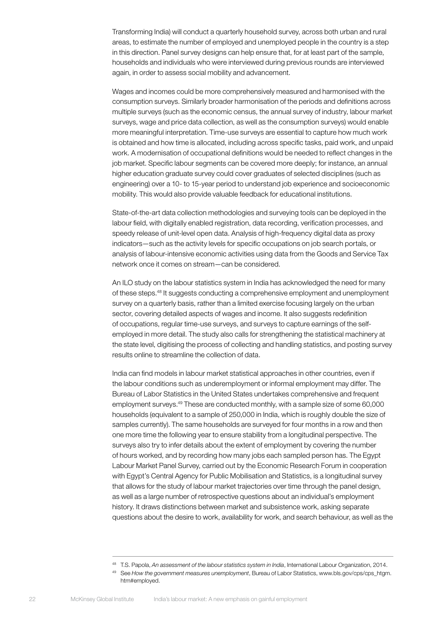Transforming India) will conduct a quarterly household survey, across both urban and rural areas, to estimate the number of employed and unemployed people in the country is a step in this direction. Panel survey designs can help ensure that, for at least part of the sample, households and individuals who were interviewed during previous rounds are interviewed again, in order to assess social mobility and advancement.

Wages and incomes could be more comprehensively measured and harmonised with the consumption surveys. Similarly broader harmonisation of the periods and definitions across multiple surveys (such as the economic census, the annual survey of industry, labour market surveys, wage and price data collection, as well as the consumption surveys) would enable more meaningful interpretation. Time-use surveys are essential to capture how much work is obtained and how time is allocated, including across specific tasks, paid work, and unpaid work. A modernisation of occupational definitions would be needed to reflect changes in the job market. Specific labour segments can be covered more deeply; for instance, an annual higher education graduate survey could cover graduates of selected disciplines (such as engineering) over a 10- to 15-year period to understand job experience and socioeconomic mobility. This would also provide valuable feedback for educational institutions.

State-of-the-art data collection methodologies and surveying tools can be deployed in the labour field, with digitally enabled registration, data recording, verification processes, and speedy release of unit-level open data. Analysis of high-frequency digital data as proxy indicators—such as the activity levels for specific occupations on job search portals, or analysis of labour-intensive economic activities using data from the Goods and Service Tax network once it comes on stream—can be considered.

An ILO study on the labour statistics system in India has acknowledged the need for many of these steps.48 It suggests conducting a comprehensive employment and unemployment survey on a quarterly basis, rather than a limited exercise focusing largely on the urban sector, covering detailed aspects of wages and income. It also suggests redefinition of occupations, regular time-use surveys, and surveys to capture earnings of the selfemployed in more detail. The study also calls for strengthening the statistical machinery at the state level, digitising the process of collecting and handling statistics, and posting survey results online to streamline the collection of data.

India can find models in labour market statistical approaches in other countries, even if the labour conditions such as underemployment or informal employment may differ. The Bureau of Labor Statistics in the United States undertakes comprehensive and frequent employment surveys.<sup>49</sup> These are conducted monthly, with a sample size of some 60,000 households (equivalent to a sample of 250,000 in India, which is roughly double the size of samples currently). The same households are surveyed for four months in a row and then one more time the following year to ensure stability from a longitudinal perspective. The surveys also try to infer details about the extent of employment by covering the number of hours worked, and by recording how many jobs each sampled person has. The Egypt Labour Market Panel Survey, carried out by the Economic Research Forum in cooperation with Egypt's Central Agency for Public Mobilisation and Statistics, is a longitudinal survey that allows for the study of labour market trajectories over time through the panel design, as well as a large number of retrospective questions about an individual's employment history. It draws distinctions between market and subsistence work, asking separate questions about the desire to work, availability for work, and search behaviour, as well as the

<sup>48</sup> T.S. Papola, *An assessment of the labour statistics system in India*, International Labour Organization, 2014.

<sup>49</sup> See *How the government measures unemployment*, Bureau of Labor Statistics, www.bls.gov/cps/cps\_htgm. htm#employed.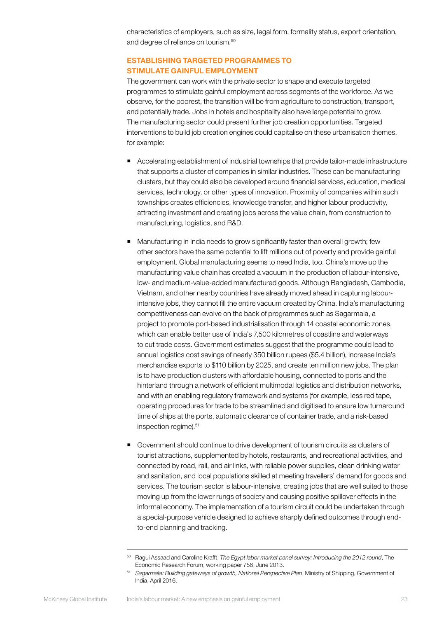characteristics of employers, such as size, legal form, formality status, export orientation, and degree of reliance on tourism.50

#### ESTABLISHING TARGETED PROGRAMMES TO STIMULATE GAINFUL EMPLOYMENT

The government can work with the private sector to shape and execute targeted programmes to stimulate gainful employment across segments of the workforce. As we observe, for the poorest, the transition will be from agriculture to construction, transport, and potentially trade. Jobs in hotels and hospitality also have large potential to grow. The manufacturing sector could present further job creation opportunities. Targeted interventions to build job creation engines could capitalise on these urbanisation themes, for example:

- Accelerating establishment of industrial townships that provide tailor-made infrastructure that supports a cluster of companies in similar industries. These can be manufacturing clusters, but they could also be developed around financial services, education, medical services, technology, or other types of innovation. Proximity of companies within such townships creates efficiencies, knowledge transfer, and higher labour productivity, attracting investment and creating jobs across the value chain, from construction to manufacturing, logistics, and R&D.
- Manufacturing in India needs to grow significantly faster than overall growth; few other sectors have the same potential to lift millions out of poverty and provide gainful employment. Global manufacturing seems to need India, too. China's move up the manufacturing value chain has created a vacuum in the production of labour-intensive, low- and medium-value-added manufactured goods. Although Bangladesh, Cambodia, Vietnam, and other nearby countries have already moved ahead in capturing labourintensive jobs, they cannot fill the entire vacuum created by China. India's manufacturing competitiveness can evolve on the back of programmes such as Sagarmala, a project to promote port-based industrialisation through 14 coastal economic zones, which can enable better use of India's 7,500 kilometres of coastline and waterways to cut trade costs. Government estimates suggest that the programme could lead to annual logistics cost savings of nearly 350 billion rupees (\$5.4 billion), increase India's merchandise exports to \$110 billion by 2025, and create ten million new jobs. The plan is to have production clusters with affordable housing, connected to ports and the hinterland through a network of efficient multimodal logistics and distribution networks, and with an enabling regulatory framework and systems (for example, less red tape, operating procedures for trade to be streamlined and digitised to ensure low turnaround time of ships at the ports, automatic clearance of container trade, and a risk-based inspection regime).<sup>51</sup>
- Government should continue to drive development of tourism circuits as clusters of tourist attractions, supplemented by hotels, restaurants, and recreational activities, and connected by road, rail, and air links, with reliable power supplies, clean drinking water and sanitation, and local populations skilled at meeting travellers' demand for goods and services. The tourism sector is labour-intensive, creating jobs that are well suited to those moving up from the lower rungs of society and causing positive spillover effects in the informal economy. The implementation of a tourism circuit could be undertaken through a special-purpose vehicle designed to achieve sharply defined outcomes through endto-end planning and tracking.

<sup>50</sup> Ragui Assaad and Caroline Krafft, *The Egypt labor market panel survey: Introducing the 2012 round*, The Economic Research Forum, working paper 758, June 2013.

<sup>51</sup> *Sagarmala: Building gateways of growth, National Perspective Plan*, Ministry of Shipping, Government of India, April 2016.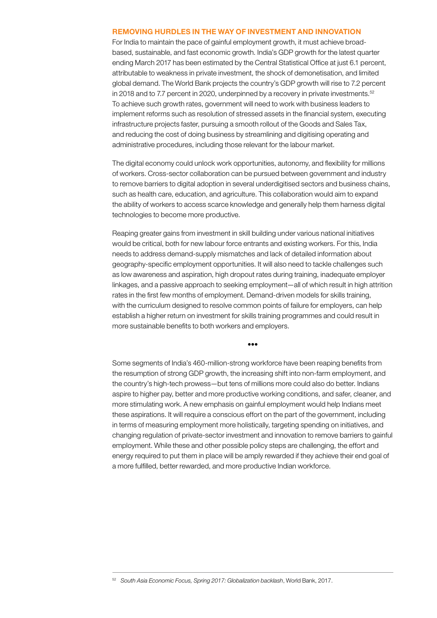#### REMOVING HURDLES IN THE WAY OF INVESTMENT AND INNOVATION

For India to maintain the pace of gainful employment growth, it must achieve broadbased, sustainable, and fast economic growth. India's GDP growth for the latest quarter ending March 2017 has been estimated by the Central Statistical Office at just 6.1 percent, attributable to weakness in private investment, the shock of demonetisation, and limited global demand. The World Bank projects the country's GDP growth will rise to 7.2 percent in 2018 and to 7.7 percent in 2020, underpinned by a recovery in private investments.<sup>52</sup> To achieve such growth rates, government will need to work with business leaders to implement reforms such as resolution of stressed assets in the financial system, executing infrastructure projects faster, pursuing a smooth rollout of the Goods and Sales Tax, and reducing the cost of doing business by streamlining and digitising operating and administrative procedures, including those relevant for the labour market.

The digital economy could unlock work opportunities, autonomy, and flexibility for millions of workers. Cross-sector collaboration can be pursued between government and industry to remove barriers to digital adoption in several underdigitised sectors and business chains, such as health care, education, and agriculture. This collaboration would aim to expand the ability of workers to access scarce knowledge and generally help them harness digital technologies to become more productive.

Reaping greater gains from investment in skill building under various national initiatives would be critical, both for new labour force entrants and existing workers. For this, India needs to address demand-supply mismatches and lack of detailed information about geography-specific employment opportunities. It will also need to tackle challenges such as low awareness and aspiration, high dropout rates during training, inadequate employer linkages, and a passive approach to seeking employment—all of which result in high attrition rates in the first few months of employment. Demand-driven models for skills training, with the curriculum designed to resolve common points of failure for employers, can help establish a higher return on investment for skills training programmes and could result in more sustainable benefits to both workers and employers.

•••

Some segments of India's 460-million-strong workforce have been reaping benefits from the resumption of strong GDP growth, the increasing shift into non-farm employment, and the country's high-tech prowess—but tens of millions more could also do better. Indians aspire to higher pay, better and more productive working conditions, and safer, cleaner, and more stimulating work. A new emphasis on gainful employment would help Indians meet these aspirations. It will require a conscious effort on the part of the government, including in terms of measuring employment more holistically, targeting spending on initiatives, and changing regulation of private-sector investment and innovation to remove barriers to gainful employment. While these and other possible policy steps are challenging, the effort and energy required to put them in place will be amply rewarded if they achieve their end goal of a more fulfilled, better rewarded, and more productive Indian workforce.

<sup>52</sup> *South Asia Economic Focus, Spring 2017: Globalization backlash*, World Bank, 2017.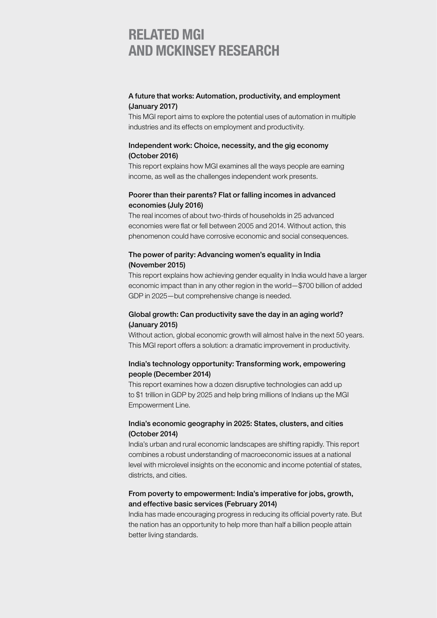### RELATED MGI AND MCKINSEY RESEARCH

#### [A future that works: Automation, productivity, and employment](http://www.mckinsey.com/global-themes/digital-disruption/harnessing-automation-for-a-future-that-works)  [\(January 2017\)](http://www.mckinsey.com/global-themes/digital-disruption/harnessing-automation-for-a-future-that-works)

This MGI report aims to explore the potential uses of automation in multiple industries and its effects on employment and productivity.

#### [Independent work: Choice, necessity, and the gig economy](http://www.mckinsey.com/global-themes/employment-and-growth/independent-work-choice-necessity-and-the-gig-economy)  [\(October 2016\)](http://www.mckinsey.com/global-themes/employment-and-growth/independent-work-choice-necessity-and-the-gig-economy)

This report explains how MGI examines all the ways people are earning income, as well as the challenges independent work presents.

#### [Poorer than their parents? Flat or falling incomes in advanced](http://www.mckinsey.com/global-themes/employment-and-growth/poorer-than-their-parents-a-new-perspective-on-income-inequality)  [economies \(July 2016\)](http://www.mckinsey.com/global-themes/employment-and-growth/poorer-than-their-parents-a-new-perspective-on-income-inequality)

The real incomes of about two-thirds of households in 25 advanced economies were flat or fell between 2005 and 2014. Without action, this phenomenon could have corrosive economic and social consequences.

#### [The power of parity: Advancing women's equality in India](http://www.mckinsey.com/global-themes/employment-and-growth/the-power-of-parity-advancing-womens-equality-in-india)  [\(November 2015\)](http://www.mckinsey.com/global-themes/employment-and-growth/the-power-of-parity-advancing-womens-equality-in-india)

This report explains how achieving gender equality in India would have a larger economic impact than in any other region in the world—\$700 billion of added GDP in 2025—but comprehensive change is needed.

#### [Global growth: Can productivity save the day in an aging world?](http://www.mckinsey.com/global-themes/employment-and-growth/can-long-term-global-growth-be-saved)  [\(January 2015\)](http://www.mckinsey.com/global-themes/employment-and-growth/can-long-term-global-growth-be-saved)

Without action, global economic growth will almost halve in the next 50 years. This MGI report offers a solution: a dramatic improvement in productivity.

### [India's technology opportunity: Transforming work, empowering](http://www.mckinsey.com/industries/high-tech/our-insights/indias-tech-opportunity-transforming-work-empowering-people)  [people \(December 2014\)](http://www.mckinsey.com/industries/high-tech/our-insights/indias-tech-opportunity-transforming-work-empowering-people)

This report examines how a dozen disruptive technologies can add up to \$1 trillion in GDP by 2025 and help bring millions of Indians up the MGI Empowerment Line.

#### [India's economic geography in 2025: States, clusters, and cities](http://www.mckinsey.com/global-themes/asia-pacific/understanding-indias-economic-geography)  [\(October 2014\)](http://www.mckinsey.com/global-themes/asia-pacific/understanding-indias-economic-geography)

India's urban and rural economic landscapes are shifting rapidly. This report combines a robust understanding of macroeconomic issues at a national level with microlevel insights on the economic and income potential of states, districts, and cities.

#### [From poverty to empowerment: India's imperative for jobs, growth,](http://www.mckinsey.com/global-themes/asia-pacific/indias-path-from-poverty-to-empowerment)  [and effective basic services \(February 2014\)](http://www.mckinsey.com/global-themes/asia-pacific/indias-path-from-poverty-to-empowerment)

India has made encouraging progress in reducing its official poverty rate. But the nation has an opportunity to help more than half a billion people attain better living standards.